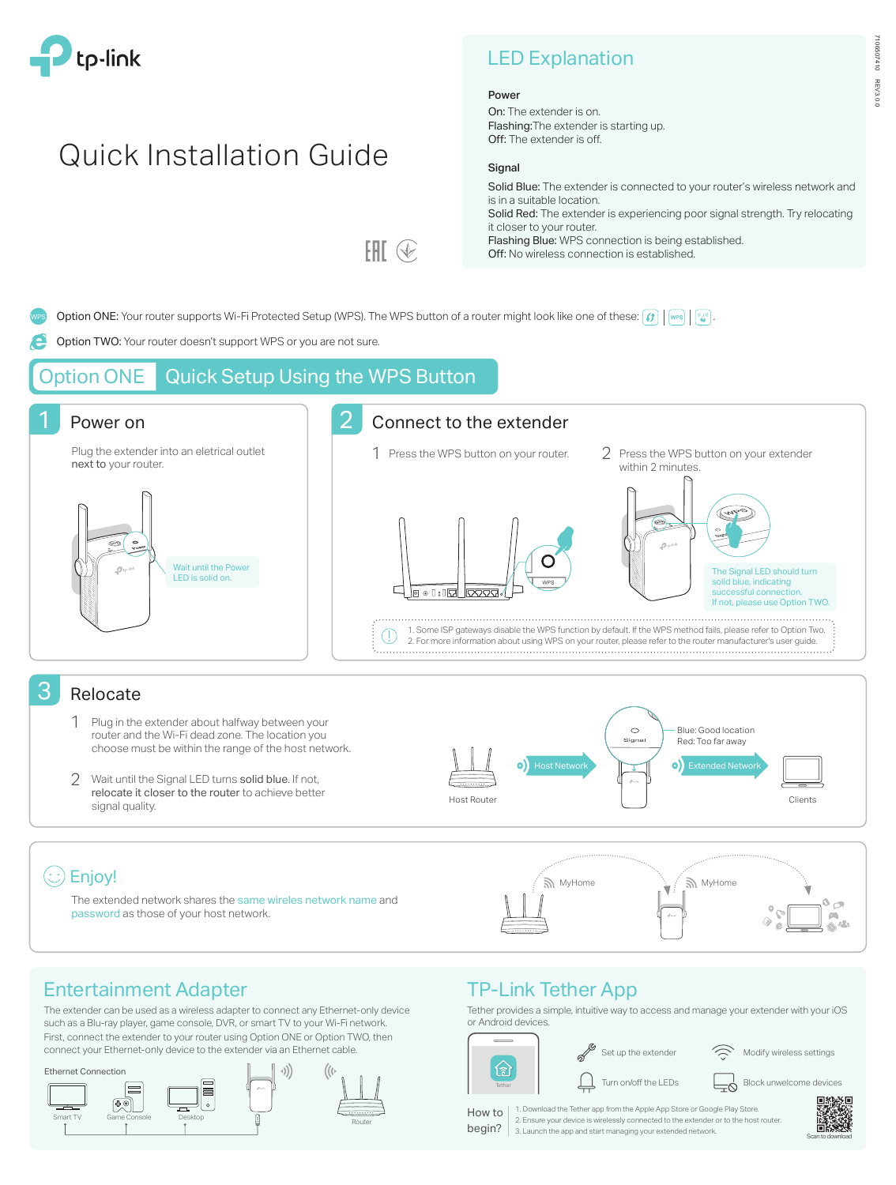

# Quick Installation Guide

| <b>LED Explanation</b> |  |  |
|------------------------|--|--|
|                        |  |  |

#### Power

On: The extender is on. Flashing:The extender is starting up. Off: The extender is off.

#### **Signal**

Solid Blue: The extender is connected to your router's wireless network and is in a suitable location. Solid Red: The extender is experiencing poor signal strength. Try relocating it closer to your router. Flashing Blue: WPS connection is being established. Off: No wireless connection is established.

Option ONE: Your router supports Wi-Fi Protected Setup (WPS). The WPS button of a router might look like one of these:  $\left| \bm{\theta} \right| \left| \bm{\theta} \right|$ .

FAT ®

Option TWO: Your router doesn't support WPS or you are not sure.

## **Option ONE** Quick Setup Using the WPS Button



### Relocate

- Plug in the extender about halfway between your router and the Wi-Fi dead zone. The location you choose must be within the range of the host network. 1
- Wait until the Signal LED turns solid blue. If not, 2 relocate it closer to the router to achieve better signal quality.



The extended network shares the same wireles network name and password as those of your host network.



## Entertainment Adapter

The extender can be used as a wireless adapter to connect any Ethernet-only device such as a Blu-ray player, game console, DVR, or smart TV to your Wi-Fi network. First, connect the extender to your router using Option ONE or Option TWO, then connect your Ethernet-only device to the extender via an Ethernet cable.



## TP-Link Tether App

Tether provides a simple, intuitive way to access and manage your extender with your iOS or Android devices.



Set up the extender  $\widehat{\phantom{a}}$  Modify wireless settings

Turn on/off the LEDs  $\begin{array}{c} \begin{array}{c} \begin{array}{c} \end{array} \\ \begin{array}{c} \end{array} \end{array}$  Block unwelcome devices

1. Download the Tether app from the Apple App Store or Google Play Store. 2. Ensure your device is wirelessly connected to the extender or to the host router. 3. Launch the app and start managing your extended network. How to begin?